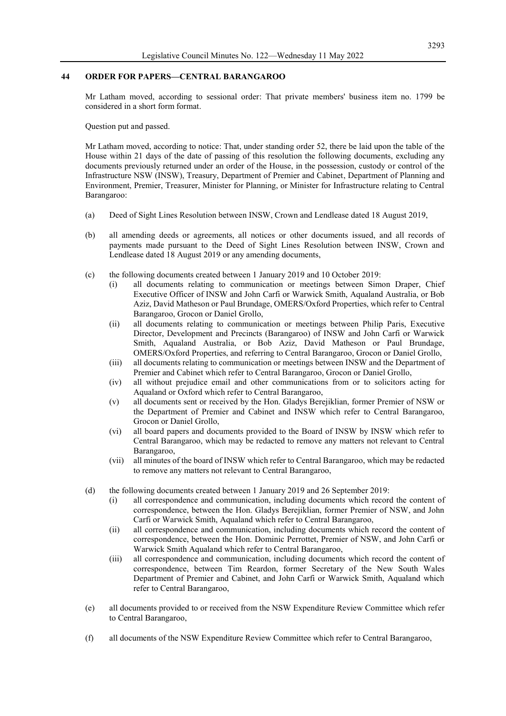### **44 ORDER FOR PAPERS—CENTRAL BARANGAROO**

Mr Latham moved, according to sessional order: That private members' business item no. 1799 be considered in a short form format.

Question put and passed.

Mr Latham moved, according to notice: That, under standing order 52, there be laid upon the table of the House within 21 days of the date of passing of this resolution the following documents, excluding any documents previously returned under an order of the House, in the possession, custody or control of the Infrastructure NSW (INSW), Treasury, Department of Premier and Cabinet, Department of Planning and Environment, Premier, Treasurer, Minister for Planning, or Minister for Infrastructure relating to Central Barangaroo:

- (a) Deed of Sight Lines Resolution between INSW, Crown and Lendlease dated 18 August 2019,
- (b) all amending deeds or agreements, all notices or other documents issued, and all records of payments made pursuant to the Deed of Sight Lines Resolution between INSW, Crown and Lendlease dated 18 August 2019 or any amending documents,
- (c) the following documents created between 1 January 2019 and 10 October 2019:
	- (i) all documents relating to communication or meetings between Simon Draper, Chief Executive Officer of INSW and John Carfi or Warwick Smith, Aqualand Australia, or Bob Aziz, David Matheson or Paul Brundage, OMERS/Oxford Properties, which refer to Central Barangaroo, Grocon or Daniel Grollo,
	- (ii) all documents relating to communication or meetings between Philip Paris, Executive Director, Development and Precincts (Barangaroo) of INSW and John Carfi or Warwick Smith, Aqualand Australia, or Bob Aziz, David Matheson or Paul Brundage, OMERS/Oxford Properties, and referring to Central Barangaroo, Grocon or Daniel Grollo,
	- (iii) all documents relating to communication or meetings between INSW and the Department of Premier and Cabinet which refer to Central Barangaroo, Grocon or Daniel Grollo,
	- (iv) all without prejudice email and other communications from or to solicitors acting for Aqualand or Oxford which refer to Central Barangaroo,
	- (v) all documents sent or received by the Hon. Gladys Berejiklian, former Premier of NSW or the Department of Premier and Cabinet and INSW which refer to Central Barangaroo, Grocon or Daniel Grollo,
	- (vi) all board papers and documents provided to the Board of INSW by INSW which refer to Central Barangaroo, which may be redacted to remove any matters not relevant to Central Barangaroo,
	- (vii) all minutes of the board of INSW which refer to Central Barangaroo, which may be redacted to remove any matters not relevant to Central Barangaroo,
- (d) the following documents created between 1 January 2019 and 26 September 2019:
	- (i) all correspondence and communication, including documents which record the content of correspondence, between the Hon. Gladys Berejiklian, former Premier of NSW, and John Carfi or Warwick Smith, Aqualand which refer to Central Barangaroo,
	- (ii) all correspondence and communication, including documents which record the content of correspondence, between the Hon. Dominic Perrottet, Premier of NSW, and John Carfi or Warwick Smith Aqualand which refer to Central Barangaroo,
	- (iii) all correspondence and communication, including documents which record the content of correspondence, between Tim Reardon, former Secretary of the New South Wales Department of Premier and Cabinet, and John Carfi or Warwick Smith, Aqualand which refer to Central Barangaroo,
- (e) all documents provided to or received from the NSW Expenditure Review Committee which refer to Central Barangaroo,
- (f) all documents of the NSW Expenditure Review Committee which refer to Central Barangaroo,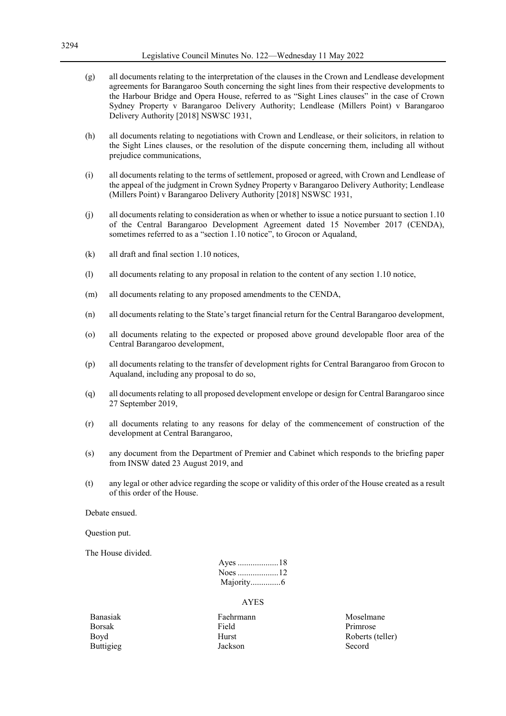## Legislative Council Minutes No. 122—Wednesday 11 May 2022

- (g) all documents relating to the interpretation of the clauses in the Crown and Lendlease development agreements for Barangaroo South concerning the sight lines from their respective developments to the Harbour Bridge and Opera House, referred to as "Sight Lines clauses" in the case of Crown Sydney Property v Barangaroo Delivery Authority; Lendlease (Millers Point) v Barangaroo Delivery Authority [2018] NSWSC 1931,
- (h) all documents relating to negotiations with Crown and Lendlease, or their solicitors, in relation to the Sight Lines clauses, or the resolution of the dispute concerning them, including all without prejudice communications,
- (i) all documents relating to the terms of settlement, proposed or agreed, with Crown and Lendlease of the appeal of the judgment in Crown Sydney Property v Barangaroo Delivery Authority; Lendlease (Millers Point) v Barangaroo Delivery Authority [2018] NSWSC 1931,
- (j) all documents relating to consideration as when or whether to issue a notice pursuant to section 1.10 of the Central Barangaroo Development Agreement dated 15 November 2017 (CENDA), sometimes referred to as a "section 1.10 notice", to Grocon or Aqualand,
- (k) all draft and final section 1.10 notices,
- (l) all documents relating to any proposal in relation to the content of any section 1.10 notice,
- (m) all documents relating to any proposed amendments to the CENDA,
- (n) all documents relating to the State's target financial return for the Central Barangaroo development,
- (o) all documents relating to the expected or proposed above ground developable floor area of the Central Barangaroo development,
- (p) all documents relating to the transfer of development rights for Central Barangaroo from Grocon to Aqualand, including any proposal to do so,
- (q) all documents relating to all proposed development envelope or design for Central Barangaroo since 27 September 2019,
- (r) all documents relating to any reasons for delay of the commencement of construction of the development at Central Barangaroo,
- (s) any document from the Department of Premier and Cabinet which responds to the briefing paper from INSW dated 23 August 2019, and
- (t) any legal or other advice regarding the scope or validity of this order of the House created as a result of this order of the House.

Debate ensued.

Question put.

The House divided.

#### AYES

Banasiak **Faehrmann** Faehrmann Moselmane Borsak **Field** Primrose Boyd Hurst Hurst Roberts (teller) Buttigieg Jackson Jackson Secord